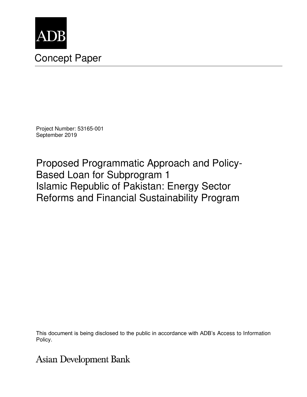

# Concept Paper

Project Number: 53165-001 September 2019

Proposed Programmatic Approach and Policy-Based Loan for Subprogram 1 Islamic Republic of Pakistan: Energy Sector Reforms and Financial Sustainability Program

This document is being disclosed to the public in accordance with ADB's Access to Information Policy.

**Asian Development Bank**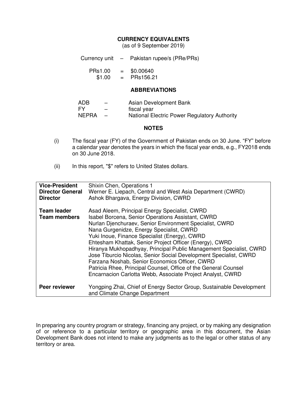#### **CURRENCY EQUIVALENTS**

(as of 9 September 2019)

Currency unit – Pakistan rupee/s (PRe/PRs)

| <b>PRs1.00</b> | $=$ | \$0.00640 |
|----------------|-----|-----------|
| \$1.00         | $=$ | PRs156.21 |

#### **ABBREVIATIONS**

| ADB          |                          | Asian Development Bank                              |
|--------------|--------------------------|-----------------------------------------------------|
| FY           | $\overline{\phantom{0}}$ | fiscal year                                         |
| <b>NEPRA</b> |                          | <b>National Electric Power Regulatory Authority</b> |

#### **NOTES**

- (i) The fiscal year (FY) of the Government of Pakistan ends on 30 June. "FY" before a calendar year denotes the years in which the fiscal year ends, e.g., FY2018 ends on 30 June 2018.
- (ii) In this report, "\$" refers to United States dollars.

| <b>Vice-President</b><br><b>Director General</b><br><b>Director</b> | Shixin Chen, Operations 1<br>Werner E. Liepach, Central and West Asia Department (CWRD)<br>Ashok Bhargava, Energy Division, CWRD                                                                                                                                                                                                                                                                                                                                                                                                                                                                                                                    |
|---------------------------------------------------------------------|-----------------------------------------------------------------------------------------------------------------------------------------------------------------------------------------------------------------------------------------------------------------------------------------------------------------------------------------------------------------------------------------------------------------------------------------------------------------------------------------------------------------------------------------------------------------------------------------------------------------------------------------------------|
| <b>Team leader</b><br><b>Team members</b>                           | Asad Aleem, Principal Energy Specialist, CWRD<br>Isabel Borcena, Senior Operations Assistant, CWRD<br>Nurlan Djenchuraev, Senior Environment Specialist, CWRD<br>Nana Gurgenidze, Energy Specialist, CWRD<br>Yuki Inoue, Finance Specialist (Energy), CWRD<br>Ehtesham Khattak, Senior Project Officer (Energy), CWRD<br>Hiranya Mukhopadhyay, Principal Public Management Specialist, CWRD<br>Jose Tiburcio Nicolas, Senior Social Development Specialist, CWRD<br>Farzana Noshab, Senior Economics Officer, CWRD<br>Patricia Rhee, Principal Counsel, Office of the General Counsel<br>Encarnacion Carlotta Webb, Associate Project Analyst, CWRD |
| Peer reviewer                                                       | Yongping Zhai, Chief of Energy Sector Group, Sustainable Development<br>and Climate Change Department                                                                                                                                                                                                                                                                                                                                                                                                                                                                                                                                               |

In preparing any country program or strategy, financing any project, or by making any designation of or reference to a particular territory or geographic area in this document, the Asian Development Bank does not intend to make any judgments as to the legal or other status of any territory or area.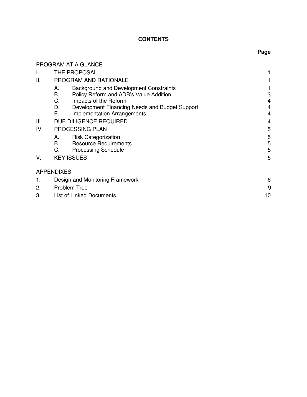## **CONTENTS**

**Page** 

# PROGRAM AT A GLANCE I. THE PROPOSAL 1 II. PROGRAM AND RATIONALE 1 A. Background and Development Constraints<br>
B. Policy Reform and ADB's Value Addition 
3 B. Policy Reform and ADB's Value Addition 3<br>C. Impacts of the Reform 3 C. Impacts of the Reform<br>
D. Development Financing Needs and Budget Support<br>
4 D. Development Financing Needs and Budget Support<br>
E. Implementation Arrangements Implementation Arrangements III. DUE DILIGENCE REQUIRED 4 IV. PROCESSING PLAN 5 A. Risk Categorization 5<br>
B. Resource Requirements 5 Resource Requirements 5<br>Processing Schedule 5 C. Processing Schedule V. KEY ISSUES 5 APPENDIXES 1. Design and Monitoring Framework 6 and 5 and 5 and 6 and 6 and 6 and 6 and 6 and 6 and 6 and 6 and 6 and 6 and 6 and 6 and 6 and 6 and 6 and 6 and 6 and 6 and 6 and 6 and 6 and 6 and 6 and 6 and 6 and 6 and 6 and 6 and 6 2. Problem Tree 9 3. List of Linked Documents 10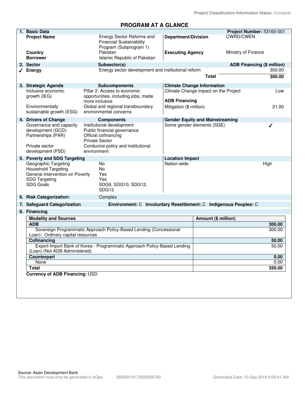# **PROGRAM AT A GLANCE**

| 1. Basic Data                                                                                                                     |                                                                                                                                                 |                                                 |                                        | Project Number: 53165-001         |                |
|-----------------------------------------------------------------------------------------------------------------------------------|-------------------------------------------------------------------------------------------------------------------------------------------------|-------------------------------------------------|----------------------------------------|-----------------------------------|----------------|
| <b>Project Name</b>                                                                                                               | Energy Sector Reforms and<br><b>Financial Sustainability</b><br>Program (Subprogram 1)                                                          | <b>Department/Division</b>                      |                                        | <b>CWRD/CWEN</b>                  |                |
| Country<br><b>Borrower</b>                                                                                                        | Pakistan<br>Islamic Republic of Pakistan                                                                                                        | <b>Executing Agency</b>                         |                                        | Ministry of Finance               |                |
| 2. Sector                                                                                                                         | Subsector(s)                                                                                                                                    |                                                 |                                        | <b>ADB Financing (\$ million)</b> |                |
| <b>Energy</b>                                                                                                                     | Energy sector development and institutional reform                                                                                              |                                                 |                                        |                                   | 300.00         |
|                                                                                                                                   |                                                                                                                                                 |                                                 | <b>Total</b>                           |                                   | 300.00         |
| 3. Strategic Agenda                                                                                                               | <b>Subcomponents</b>                                                                                                                            |                                                 | <b>Climate Change Information</b>      |                                   |                |
| Inclusive economic<br>growth (IEG)<br>Environmentally                                                                             | Pillar 2: Access to economic<br>opportunities, including jobs, made<br>more inclusive<br>Global and regional transboundary                      | <b>ADB Financing</b><br>Mitigation (\$ million) | Climate Change impact on the Project   |                                   | Low<br>21.00   |
| sustainable growth (ESG)                                                                                                          | environmental concerns                                                                                                                          |                                                 |                                        |                                   |                |
| 4. Drivers of Change                                                                                                              | <b>Components</b>                                                                                                                               |                                                 | <b>Gender Equity and Mainstreaming</b> |                                   |                |
| Governance and capacity<br>development (GCD)<br>Partnerships (PAR)<br>Private sector                                              | Institutional development<br>Public financial governance<br>Official cofinancing<br><b>Private Sector</b><br>Conducive policy and institutional |                                                 | Some gender elements (SGE)             |                                   | ℐ              |
| development (PSD)                                                                                                                 | environment                                                                                                                                     |                                                 |                                        |                                   |                |
| 5. Poverty and SDG Targeting                                                                                                      |                                                                                                                                                 | <b>Location Impact</b>                          |                                        |                                   |                |
| Geographic Targeting<br><b>Household Targeting</b><br>General Intervention on Poverty<br><b>SDG Targeting</b><br><b>SDG Goals</b> | No<br>No<br>Yes<br>Yes<br>SDG9, SDG10, SDG12,<br>SDG <sub>13</sub>                                                                              | Nation-wide                                     |                                        |                                   | High           |
| 6. Risk Categorization:                                                                                                           | Complex                                                                                                                                         |                                                 |                                        |                                   |                |
| 7. Safeguard Categorization                                                                                                       | Environment: C Involuntary Resettlement: C Indigenous Peoples: C                                                                                |                                                 |                                        |                                   |                |
| 8. Financing                                                                                                                      |                                                                                                                                                 |                                                 |                                        |                                   |                |
| <b>Modality and Sources</b>                                                                                                       |                                                                                                                                                 |                                                 | Amount (\$ million)                    |                                   |                |
| <b>ADB</b>                                                                                                                        |                                                                                                                                                 |                                                 |                                        |                                   | 300.00         |
|                                                                                                                                   | Sovereign Programmatic Approach Policy-Based Lending (Concessional                                                                              |                                                 |                                        |                                   | 300.00         |
| Loan): Ordinary capital resources<br>Cofinancing                                                                                  |                                                                                                                                                 |                                                 |                                        |                                   |                |
|                                                                                                                                   | Export-Import Bank of Korea - Programmatic Approach Policy-Based Lending                                                                        |                                                 |                                        |                                   | 50.00<br>50.00 |
| (Loan) (Not ADB Administered)                                                                                                     |                                                                                                                                                 |                                                 |                                        |                                   |                |
| Counterpart                                                                                                                       |                                                                                                                                                 |                                                 |                                        |                                   | 0.00           |
| None<br>Total                                                                                                                     |                                                                                                                                                 |                                                 |                                        |                                   | 0.00<br>350.00 |
| <b>Currency of ADB Financing: USD</b>                                                                                             |                                                                                                                                                 |                                                 |                                        |                                   |                |
|                                                                                                                                   |                                                                                                                                                 |                                                 |                                        |                                   |                |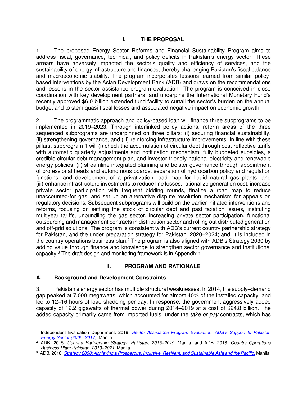1. The proposed Energy Sector Reforms and Financial Sustainability Program aims to address fiscal, governance, technical, and policy deficits in Pakistan's energy sector. These arrears have adversely impacted the sector's quality and efficiency of services, and the sustainability of energy infrastructure and finances, thereby challenging Pakistan's fiscal balance and macroeconomic stability. The program incorporates lessons learned from similar policybased interventions by the Asian Development Bank (ADB) and draws on the recommendations and lessons in the sector assistance program evaluation.<sup>1</sup> The program is conceived in close coordination with key development partners, and underpins the International Monetary Fund's recently approved \$6.0 billion extended fund facility to curtail the sector's burden on the annual budget and to stem quasi-fiscal losses and associated negative impact on economic growth.

2. The programmatic approach and policy-based loan will finance three subprograms to be implemented in 2019–2023. Through interlinked policy actions, reform areas of the three sequenced subprograms are underpinned on three pillars: (i) securing financial sustainability, (ii) strengthening governance, and (iii) reinforcing infrastructure improvements. In line with these pillars, subprogram 1 will (i) check the accumulation of circular debt through cost-reflective tariffs with automatic quarterly adjustments and notification mechanism, fully budgeted subsidies, a credible circular debt management plan, and investor-friendly national electricity and renewable energy policies; (ii) streamline integrated planning and bolster governance through appointment of professional heads and autonomous boards, separation of hydrocarbon policy and regulation functions, and development of a privatization road map for liquid natural gas plants; and (iii) enhance infrastructure investments to reduce line losses, rationalize generation cost, increase private sector participation with frequent bidding rounds, finalize a road map to reduce unaccounted-for gas, and set up an alternative dispute resolution mechanism for appeals on regulatory decisions. Subsequent subprograms will build on the earlier initiated interventions and reforms, focusing on settling the stock of circular debt and past taxation issues, instituting multiyear tariffs, unbundling the gas sector, increasing private sector participation, functional outsourcing and management contracts in distribution sector and rolling out distributed generation and off-grid solutions. The program is consistent with ADB's current country partnership strategy for Pakistan, and the under preparation strategy for Pakistan, 2020–2024; and, it is included in the country operations business plan.<sup>2</sup> The program is also aligned with ADB's Strategy 2030 by adding value through finance and knowledge to strengthen sector governance and institutional capacity.<sup>3</sup> The draft design and monitoring framework is in Appendix 1.

# **II. PROGRAM AND RATIONALE**

# **A. Background and Development Constraints**

3. Pakistan's energy sector has multiple structural weaknesses. In 2014, the supply–demand gap peaked at 7,000 megawatts, which accounted for almost 40% of the installed capacity, and led to 12–16 hours of load-shedding per day. In response, the government aggressively added capacity of 12.2 gigawatts of thermal power during 2014–2019 at a cost of \$24.8 billion. The added capacity primarily came from imported fuels, under the *take or pay* contracts, which has

<sup>1</sup> Independent Evaluation Department. 2019. *Sector Assistance [Program Evaluation: ADB's Support to Pakistan](https://www.adb.org/documents/sector-assistance-program-evaluation-pakistan-power-sector)  [Energy Sector \(2005](https://www.adb.org/documents/sector-assistance-program-evaluation-pakistan-power-sector)–2017).* Manila.

<sup>2</sup> ADB. 2015. *Country Partnership Strategy: Pakistan, 2015–2019.* Manila; and ADB. 2018. *Country Operations Business Plan: Pakistan, 2019*–*2021.* Manila.

<sup>3</sup> ADB. 2018. *[Strategy 2030: Achieving a Prosperous, Inclusive, Resilient, and Sustainable Asia and the Pacific.](https://www.adb.org/sites/default/files/institutional-document/435391/strategy-2030-main-document.pdf)* Manila.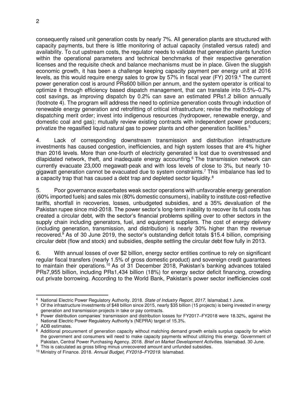consequently raised unit generation costs by nearly 7%. All generation plants are structured with capacity payments, but there is little monitoring of actual capacity (installed versus rated) and availability. To cut upstream costs, the regulator needs to validate that generation plants function within the operational parameters and technical benchmarks of their respective generation licenses and the requisite check and balance mechanisms must be in place. Given the sluggish economic growth, it has been a challenge keeping capacity payment per energy unit at 2016 levels, as this would require energy sales to grow by 57% in fiscal year (FY) 2019.<sup>4</sup> The current power generation cost is around PRs600 billion per annum, and the system operator is critical to optimize it through efficiency based dispatch management, that can translate into 0.5%–0.7% cost savings, as improving dispatch by 0.2% can save an estimated PRs1.2 billion annually (footnote 4). The program will address the need to optimize generation costs through induction of renewable energy generation and retrofitting of critical infrastructure; revise the methodology of dispatching merit order; invest into indigenous resources (hydropower, renewable energy, and domestic coal and gas); mutually review existing contracts with independent power producers; privatize the regasified liquid natural gas to power plants and other generation facilities.<sup>5</sup>

4. Lack of corresponding downstream transmission and distribution infrastructure investments has caused congestion, inefficiencies, and high system losses that are 4% higher than 2016 levels. More than one-fourth of electricity generated is lost due to overstressed and dilapidated network, theft, and inadequate energy accounting.<sup>6</sup> The transmission network can currently evacuate 23,000 megawatt-peak and with loss levels of close to 3%, but nearly 10 gigawatt generation cannot be evacuated due to system constraints.<sup>7</sup> This imbalance has led to a capacity trap that has caused a debt trap and depleted sector liquidity.<sup>8</sup>

5. Poor governance exacerbates weak sector operations with unfavorable energy generation (60% imported fuels) and sales mix (80% domestic consumers), inability to institute cost-reflective tariffs, shortfall in recoveries, losses, unbudgeted subsidies, and a 35% devaluation of the Pakistan rupee since mid-2018. The power sector's long-term inability to recover its full costs has created a circular debt, with the sector's financial problems spilling over to other sectors in the supply chain including generators, fuel, and equipment suppliers. The cost of energy delivery (including generation, transmission, and distribution) is nearly 30% higher than the revenue recovered.<sup>9</sup> As of 30 June 2019, the sector's outstanding deficit totals \$15.4 billion, comprising circular debt (flow and stock) and subsidies, despite settling the circular debt flow fully in 2013.

6. With annual losses of over \$2 billion, energy sector entities continue to rely on significant regular fiscal transfers (nearly 1.5% of gross domestic product) and sovereign credit guarantees to maintain their operations.<sup>10</sup> As of 31 December 2018, Pakistan's banking advances totaled PRs7,955 billion, including PRs1,434 billion (18%) for energy sector deficit financing, crowding out private borrowing. According to the World Bank, Pakistan's power sector inefficiencies cost

<sup>4</sup> National Electric Power Regulatory Authority. 2018. *State of Industry Report*, *2017*. Islamabad.1 June.

<sup>&</sup>lt;sup>5</sup> Of the infrastructure investments of \$48 billion since 2015, nearly \$35 billion (15 projects) is being invested in energy generation and transmission projects in take or pay contracts.

<sup>6</sup> Power distribution companies' transmission and distribution losses for FY2017–FY2018 were 18.32%, against the National Electric Power Regulatory Authority's (NEPRA) target of 15.3%.

<sup>7</sup> ADB estimates.

<sup>&</sup>lt;sup>8</sup> Additional procurement of generation capacity without matching demand growth entails surplus capacity for which the government and consumers will need to make capacity payments without utilizing this energy. Government of Pakistan, Central Power Purchasing Agency. 2018. *Brief on Market Development Activities*. Islamabad. 30 June.

<sup>&</sup>lt;sup>9</sup> This is calculated as gross billing minus unrecovered amount and unfunded subsidies.

<sup>10</sup> Ministry of Finance. 2018. *Annual Budget, FY2018–FY2019*. Islamabad.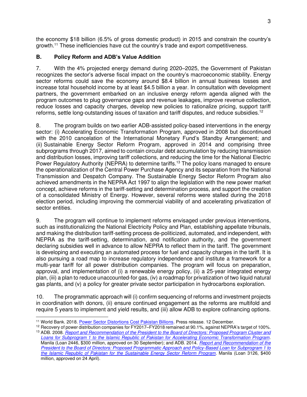the economy \$18 billion (6.5% of gross domestic product) in 2015 and constrain the country's growth.<sup>11</sup> These inefficiencies have cut the country's trade and export competitiveness.

# **B. Policy Reform and ADB's Value Addition**

7. With the 4% projected energy demand during 2020–2025, the Government of Pakistan recognizes the sector's adverse fiscal impact on the country's macroeconomic stability. Energy sector reforms could save the economy around \$8.4 billion in annual business losses and increase total household income by at least \$4.5 billion a year. In consultation with development partners, the government embarked on an inclusive energy reform agenda aligned with the program outcomes to plug governance gaps and revenue leakages, improve revenue collection, reduce losses and capacity charges, develop new policies to rationalize pricing, support tariff reforms, settle long-outstanding issues of taxation and tariff disputes, and reduce subsidies.<sup>12</sup>

8. The program builds on two earlier ADB-assisted policy-based interventions in the energy sector: (i) Accelerating Economic Transformation Program, approved in 2008 but discontinued with the 2010 cancelation of the International Monetary Fund's Standby Arrangement; and (ii) Sustainable Energy Sector Reform Program*,* approved in 2014 and comprising three subprograms through 2017, aimed to contain circular debt accumulation by reducing transmission and distribution losses, improving tariff collections, and reducing the time for the National Electric Power Regulatory Authority (NEPRA) to determine tariffs.<sup>13</sup> The policy loans managed to ensure the operationalization of the Central Power Purchase Agency and its separation from the National Transmission and Despatch Company. The Sustainable Energy Sector Reform Program also achieved amendments in the NEPRA Act 1997 to align the legislation with the new power market concept, achieve reforms in the tariff-setting and determination process, and support the creation of a consolidated Ministry of Energy. However, several reforms were stalled during the 2018 election period, including improving the commercial viability of and accelerating privatization of sector entities.

9. The program will continue to implement reforms envisaged under previous interventions, such as institutionalizing the National Electricity Policy and Plan, establishing appellate tribunals, and making the distribution tariff-setting process de-politicized, automated, and independent, with NEPRA as the tariff-setting, determination, and notification authority, and the government declaring subsidies well in advance to allow NEPRA to reflect them in the tariff. The government is developing and executing an automated process for fuel and capacity charges in the tariff. It is also pursuing a road map to increase regulatory independence and institute a framework for a multi-year tariff for all power distribution companies. The program will focus on preparation, approval, and implementation of (i) a renewable energy policy, (ii) a 25-year integrated energy plan, (iii) a plan to reduce unaccounted-for gas, (iv) a roadmap for privatization of two liquid natural gas plants, and (v) a policy for greater private sector participation in hydrocarbons exploration.

10. The programmatic approach will (i) confirm sequencing of reforms and investment projects in coordination with donors, (ii) ensure continued engagement as the reforms are multifold and require 5 years to implement and yield results, and (iii) allow ADB to explore cofinancing options.

<sup>11</sup> World Bank. 2018[. Power Sector Distortions Cost Pakistan Billions](https://www.worldbank.org/en/news/press-release/2018/12/11/power-sector-distortions-cost-pakistan-billions.print)*.* Press release. 12 December.

<sup>12</sup> Recovery of power distribution companies for FY2017–FY2018 remained at 90.1%, against NEPRA's target of 100%. <sup>13</sup> ADB. 2008. *[Report and Recommendation of the President to the Board of Directors: Proposed Program Cluster and](https://www.adb.org/sites/default/files/project-document/67898/42163-pak-rrp.pdf)  [Loans for Subprogram 1 to the Islamic Republic of Pakistan for Accelerating Economic Transformation Program.](https://www.adb.org/sites/default/files/project-document/67898/42163-pak-rrp.pdf)* 

Manila (Loan 2446, \$300 million, approved on 30 September); and ADB. 2014. *[Report and Recommendation of the](https://www.adb.org/sites/default/files/project-document/80695/47015-001-rrp.pdf)  [President to the Board of Directors: Proposed Programmatic Approach and Policy-Based Loan for Subprogram 1 to](https://www.adb.org/sites/default/files/project-document/80695/47015-001-rrp.pdf)  [the Islamic Republic of Pakistan for the Sustainable Energy Sector Reform Program.](https://www.adb.org/sites/default/files/project-document/80695/47015-001-rrp.pdf)* Manila (Loan 3126, \$400 million, approved on 24 April).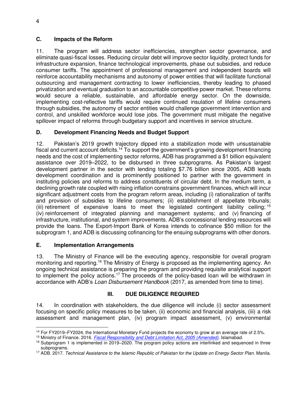### **C. Impacts of the Reform**

11. The program will address sector inefficiencies, strengthen sector governance, and eliminate quasi-fiscal losses. Reducing circular debt will improve sector liquidity, protect funds for infrastructure expansion, finance technological improvements, phase out subsidies, and reduce consumer tariffs. The appointment of professional management and independent boards will reinforce accountability mechanisms and autonomy of power entities that will facilitate functional outsourcing and management contracting to lower inefficiencies, thereby leading to phased privatization and eventual graduation to an accountable competitive power market. These reforms would secure a reliable, sustainable, and affordable energy sector. On the downside, implementing cost-reflective tariffs would require continued insulation of lifeline consumers through subsidies, the autonomy of sector entities would challenge government intervention and control, and unskilled workforce would lose jobs. The government must mitigate the negative spillover impact of reforms through budgetary support and incentives in service structure.

# **D. Development Financing Needs and Budget Support**

12. Pakistan's 2019 growth trajectory dipped into a stabilization mode with unsustainable fiscal and current account deficits.<sup>14</sup> To support the government's growing development financing needs and the cost of implementing sector reforms, ADB has programmed a \$1 billion equivalent assistance over 2019–2022, to be disbursed in three subprograms. As Pakistan's largest development partner in the sector with lending totaling \$7.76 billion since 2005, ADB leads development coordination and is prominently positioned to partner with the government in instituting policies and reforms to address constituents of circular debt. In the medium term, a declining growth rate coupled with rising inflation constrains government finances, which will incur significant adjustment costs from the program reform areas, including (i) rationalization of tariffs and provision of subsidies to lifeline consumers; (ii) establishment of appellate tribunals; (iii) retirement of expensive loans to meet the legislated contingent liability ceiling;  $15$ (iv) reinforcement of integrated planning and management systems; and (v) financing of infrastructure, institutional, and system improvements. ADB's concessional lending resources will provide the loans. The Export-Import Bank of Korea intends to cofinance \$50 million for the subprogram 1, and ADB is discussing cofinancing for the ensuing subprograms with other donors.

#### **E. Implementation Arrangements**

13. The Ministry of Finance will be the executing agency, responsible for overall program monitoring and reporting.<sup>16</sup> The Ministry of Energy is proposed as the implementing agency. An ongoing technical assistance is preparing the program and providing requisite analytical support to implement the policy actions.<sup>17</sup> The proceeds of the policy-based loan will be withdrawn in accordance with ADB's *Loan Disbursement Handbook* (2017, as amended from time to time).

# **III. DUE DILIGENCE REQUIRED**

14. In coordination with stakeholders, the due diligence will include (i) sector assessment focusing on specific policy measures to be taken, (ii) economic and financial analysis, (iii) a risk assessment and management plan, (iv) program impact assessment, (v) environmental

<sup>14</sup> For FY2019–FY2024, the International Monetary Fund projects the economy to grow at an average rate of 2.5%.

<sup>15</sup> Ministry of Finance. 2016. *[Fiscal Responsibility and Debt Limitation Act, 2005 \(Amended\)](http://www.finance.gov.pk/frdla2005_amended_2016.pdf)*. Islamabad.

<sup>16</sup> Subprogram 1 is implemented in 2019–2020. The program policy actions are interlinked and sequenced in three subprograms.

<sup>17</sup> ADB. 2017. *Technical Assistance to the Islamic Republic of Pakistan for the Update on Energy Sector Plan*. Manila.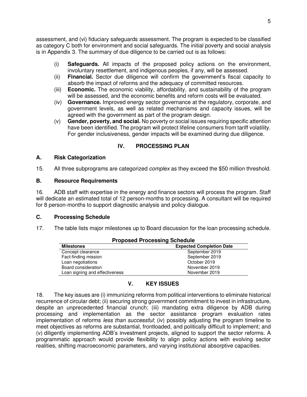assessment, and (vi) fiduciary safeguards assessment. The program is expected to be classified as category C both for environment and social safeguards. The initial poverty and social analysis is in Appendix 3. The summary of due diligence to be carried out is as follows:

- (i) **Safeguards.** All impacts of the proposed policy actions on the environment, involuntary resettlement, and indigenous peoples, if any, will be assessed.
- (ii) **Financial.** Sector due diligence will confirm the government's fiscal capacity to absorb the impact of reforms and the adequacy of committed resources.
- (iii) **Economic.** The economic viability, affordability, and sustainability of the program will be assessed, and the economic benefits and reform costs will be evaluated.
- (iv) **Governance.** Improved energy sector governance at the regulatory, corporate, and government levels, as well as related mechanisms and capacity issues, will be agreed with the government as part of the program design.
- (v) **Gender, poverty, and social.** No poverty or social issues requiring specific attention have been identified. The program will protect lifeline consumers from tariff volatility. For gender inclusiveness, gender impacts will be examined during due diligence.

# **IV. PROCESSING PLAN**

#### **A. Risk Categorization**

15. All three subprograms are categorized *complex* as they exceed the \$50 million threshold.

#### **B. Resource Requirements**

16. ADB staff with expertise in the energy and finance sectors will process the program. Staff will dedicate an estimated total of 12 person-months to processing. A consultant will be required for 8 person-months to support diagnostic analysis and policy dialogue.

### **C. Processing Schedule**

17. The table lists major milestones up to Board discussion for the loan processing schedule.

| <b>Proposed Processing Schedule</b> |                                 |  |
|-------------------------------------|---------------------------------|--|
| <b>Milestones</b>                   | <b>Expected Completion Date</b> |  |
| Concept clearance                   | September 2019                  |  |
| Fact-finding mission                | September 2019                  |  |
| Loan negotiations                   | October 2019                    |  |
| Board consideration                 | November 2019                   |  |
| Loan signing and effectiveness      | November 2019                   |  |

# **V. KEY ISSUES**

18. The key issues are (i) immunizing reforms from political interventions to eliminate historical recurrence of circular debt; (ii) securing strong government commitment to invest in infrastructure, despite an unprecedented financial crunch; (iii) mandating extra diligence by ADB during processing and implementation as the sector assistance program evaluation rates implementation of reforms *less than successful*; (iv) possibly adjusting the program timeline to meet objectives as reforms are substantial, frontloaded, and politically difficult to implement; and (v) diligently implementing ADB's investment projects, aligned to support the sector reforms. A programmatic approach would provide flexibility to align policy actions with evolving sector realities, shifting macroeconomic parameters, and varying institutional absorptive capacities.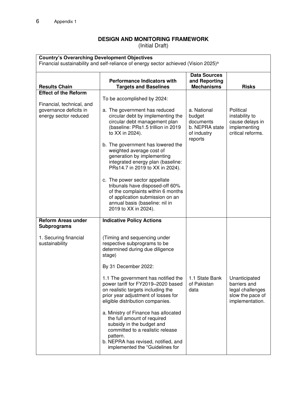# **DESIGN AND MONITORING FRAMEWORK**

(Initial Draft)

| <b>Country's Overarching Development Objectives</b><br>Financial sustainability and self-reliance of energy sector achieved (Vision 2025) <sup>a</sup> |                                                                    |                                                           |                   |  |
|--------------------------------------------------------------------------------------------------------------------------------------------------------|--------------------------------------------------------------------|-----------------------------------------------------------|-------------------|--|
| <b>Results Chain</b>                                                                                                                                   | <b>Performance Indicators with</b><br><b>Targets and Baselines</b> | <b>Data Sources</b><br>and Reporting<br><b>Mechanisms</b> | <b>Risks</b>      |  |
| <b>Effect of the Reform</b>                                                                                                                            |                                                                    |                                                           |                   |  |
|                                                                                                                                                        |                                                                    |                                                           |                   |  |
|                                                                                                                                                        | To be accomplished by 2024:                                        |                                                           |                   |  |
| Financial, technical, and                                                                                                                              |                                                                    |                                                           |                   |  |
| governance deficits in                                                                                                                                 | a. The government has reduced                                      | a. National                                               | Political         |  |
| energy sector reduced                                                                                                                                  | circular debt by implementing the                                  | budget                                                    | instability to    |  |
|                                                                                                                                                        | circular debt management plan                                      | documents                                                 | cause delays in   |  |
|                                                                                                                                                        | (baseline: PRs1.5 trillion in 2019                                 | b. NEPRA state                                            | implementing      |  |
|                                                                                                                                                        | to XX in 2024).                                                    | of industry                                               | critical reforms. |  |
|                                                                                                                                                        |                                                                    | reports                                                   |                   |  |
|                                                                                                                                                        | b. The government has lowered the                                  |                                                           |                   |  |
|                                                                                                                                                        | weighted average cost of                                           |                                                           |                   |  |
|                                                                                                                                                        | generation by implementing                                         |                                                           |                   |  |
|                                                                                                                                                        |                                                                    |                                                           |                   |  |
|                                                                                                                                                        | integrated energy plan (baseline:                                  |                                                           |                   |  |
|                                                                                                                                                        | PRs14.7 in 2019 to XX in 2024).                                    |                                                           |                   |  |
|                                                                                                                                                        |                                                                    |                                                           |                   |  |
|                                                                                                                                                        | c. The power sector appellate                                      |                                                           |                   |  |
|                                                                                                                                                        | tribunals have disposed-off 60%                                    |                                                           |                   |  |
|                                                                                                                                                        | of the complaints within 6 months                                  |                                                           |                   |  |
|                                                                                                                                                        | of application submission on an                                    |                                                           |                   |  |
|                                                                                                                                                        | annual basis (baseline: nil in                                     |                                                           |                   |  |
|                                                                                                                                                        | 2019 to XX in 2024).                                               |                                                           |                   |  |
|                                                                                                                                                        |                                                                    |                                                           |                   |  |
| <b>Reform Areas under</b>                                                                                                                              | <b>Indicative Policy Actions</b>                                   |                                                           |                   |  |
| <b>Subprograms</b>                                                                                                                                     |                                                                    |                                                           |                   |  |
|                                                                                                                                                        |                                                                    |                                                           |                   |  |
| 1. Securing financial                                                                                                                                  | (Timing and sequencing under                                       |                                                           |                   |  |
| sustainability                                                                                                                                         | respective subprograms to be                                       |                                                           |                   |  |
|                                                                                                                                                        |                                                                    |                                                           |                   |  |
|                                                                                                                                                        | determined during due diligence                                    |                                                           |                   |  |
|                                                                                                                                                        | stage)                                                             |                                                           |                   |  |
|                                                                                                                                                        |                                                                    |                                                           |                   |  |
|                                                                                                                                                        | By 31 December 2022:                                               |                                                           |                   |  |
|                                                                                                                                                        | 1.1 The government has notified the                                | 1.1 State Bank                                            | Unanticipated     |  |
|                                                                                                                                                        | power tariff for FY2019-2020 based                                 | of Pakistan                                               | barriers and      |  |
|                                                                                                                                                        |                                                                    |                                                           |                   |  |
|                                                                                                                                                        | on realistic targets including the                                 | data                                                      | legal challenges  |  |
|                                                                                                                                                        | prior year adjustment of losses for                                |                                                           | slow the pace of  |  |
|                                                                                                                                                        | eligible distribution companies.                                   |                                                           | implementation.   |  |
|                                                                                                                                                        |                                                                    |                                                           |                   |  |
|                                                                                                                                                        | a. Ministry of Finance has allocated                               |                                                           |                   |  |
|                                                                                                                                                        | the full amount of required                                        |                                                           |                   |  |
|                                                                                                                                                        | subsidy in the budget and                                          |                                                           |                   |  |
|                                                                                                                                                        | committed to a realistic release                                   |                                                           |                   |  |
|                                                                                                                                                        | pattern.                                                           |                                                           |                   |  |
|                                                                                                                                                        | b. NEPRA has revised, notified, and                                |                                                           |                   |  |
|                                                                                                                                                        | implemented the "Guidelines for                                    |                                                           |                   |  |
|                                                                                                                                                        |                                                                    |                                                           |                   |  |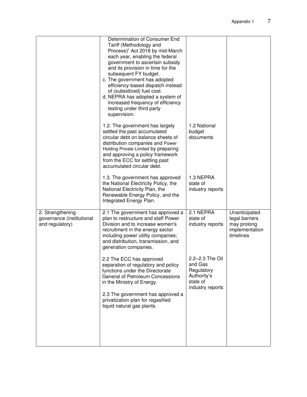|                                                                  | Determination of Consumer End<br>Tariff (Methodology and<br>Process)" Act 2018 by mid-March<br>each year, enabling the federal<br>government to ascertain subsidy<br>and its provision in time for the<br>subsequent FY budget.<br>c. The government has adopted<br>efficiency-based dispatch instead<br>of (subsidized) fuel cost.<br>d. NEPRA has adopted a system of<br>increased frequency of efficiency<br>testing under third party<br>supervision. |                                                                                         |                                                                               |
|------------------------------------------------------------------|-----------------------------------------------------------------------------------------------------------------------------------------------------------------------------------------------------------------------------------------------------------------------------------------------------------------------------------------------------------------------------------------------------------------------------------------------------------|-----------------------------------------------------------------------------------------|-------------------------------------------------------------------------------|
|                                                                  | 1.2. The government has largely<br>settled the past accumulated<br>circular debt on balance sheets of<br>distribution companies and Power<br>Holding Private Limited by preparing<br>and approving a policy framework<br>from the ECC for settling past<br>accumulated circular debt.                                                                                                                                                                     | 1.2 National<br>budget<br>documents                                                     |                                                                               |
|                                                                  | 1.3. The government has approved<br>the National Electricity Policy, the<br>National Electricity Plan, the<br>Renewable Energy Policy, and the<br>Integrated Energy Plan.                                                                                                                                                                                                                                                                                 | 1.3 NEPRA<br>state of<br>industry reports                                               |                                                                               |
| 2. Strengthening<br>governance (institutional<br>and regulatory) | 2.1 The government has approved a<br>plan to restructure and staff Power<br>Division and to increase women's<br>recruitment in the energy sector<br>including power utility companies;<br>and distribution, transmission, and<br>generation companies.                                                                                                                                                                                                    | 2.1 NEPRA<br>state of<br>industry reports                                               | Unanticipated<br>legal barriers<br>may prolong<br>implementation<br>timelines |
|                                                                  | 2.2 The ECC has approved<br>separation of regulatory and policy<br>functions under the Directorate<br>General of Petroleum Concessions<br>in the Ministry of Energy.<br>2.3 The government has approved a<br>privatization plan for regasified                                                                                                                                                                                                            | 2.2-2.3 The Oil<br>and Gas<br>Regulatory<br>Authority's<br>state of<br>industry reports |                                                                               |
|                                                                  | liquid natural gas plants.                                                                                                                                                                                                                                                                                                                                                                                                                                |                                                                                         |                                                                               |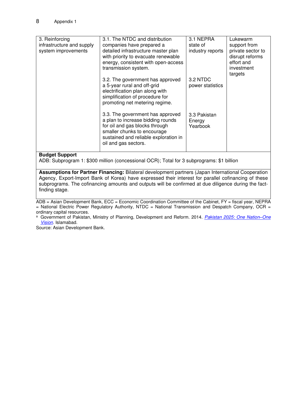| 3. Reinforcing            | 3.1. The NTDC and distribution                                      | 3.1 NEPRA        | Lukewarm          |
|---------------------------|---------------------------------------------------------------------|------------------|-------------------|
| infrastructure and supply | companies have prepared a                                           | state of         | support from      |
| system improvements       | detailed infrastructure master plan                                 | industry reports | private sector to |
|                           | with priority to evacuate renewable                                 |                  | disrupt reforms   |
|                           | energy, consistent with open-access                                 |                  | effort and        |
|                           | transmission system.                                                |                  | investment        |
|                           |                                                                     |                  | targets           |
|                           | 3.2. The government has approved                                    | 3.2 NTDC         |                   |
|                           | a 5-year rural and off-grid                                         | power statistics |                   |
|                           | electrification plan along with                                     |                  |                   |
|                           | simplification of procedure for                                     |                  |                   |
|                           | promoting net metering regime.                                      |                  |                   |
|                           |                                                                     |                  |                   |
|                           | 3.3. The government has approved                                    | 3.3 Pakistan     |                   |
|                           | a plan to increase bidding rounds<br>for oil and gas blocks through | Energy           |                   |
|                           | smaller chunks to encourage                                         | Yearbook         |                   |
|                           | sustained and reliable exploration in                               |                  |                   |
|                           | oil and gas sectors.                                                |                  |                   |
|                           |                                                                     |                  |                   |
| Dudwat Cunnaut            |                                                                     |                  |                   |

#### **Budget Support**

ADB: Subprogram 1: \$300 million (concessional OCR); Total for 3 subprograms: \$1 billion

**Assumptions for Partner Financing:** Bilateral development partners (Japan International Cooperation Agency, Export-Import Bank of Korea) have expressed their interest for parallel cofinancing of these subprograms. The cofinancing amounts and outputs will be confirmed at due diligence during the factfinding stage.

ADB = Asian Development Bank, ECC = Economic Coordination Committee of the Cabinet, FY = fiscal year, NEPRA  $=$  National Electric Power Regulatory Authority, NTDC  $=$  National Transmission and Despatch Company, OCR  $=$ ordinary capital resources.

<sup>a</sup>Government of Pakistan, Ministry of Planning, Development and Reform. 2014. *[Pakistan 2025: One Nation](https://www.pc.gov.pk/uploads/vision2025/Pakistan-Vision-2025.pdf)–One [Vision](https://www.pc.gov.pk/uploads/vision2025/Pakistan-Vision-2025.pdf)*. Islamabad.

Source: Asian Development Bank.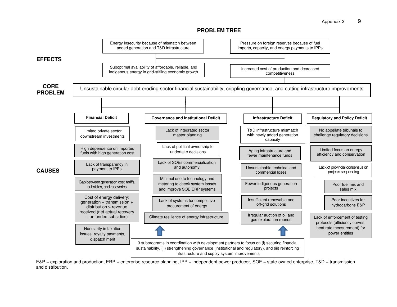Appendix 2 9

#### **PROBLEM TREE**



E&P = exploration and production, ERP = enterprise resource planning, IPP = independent power producer, SOE = state-owned enterprise, T&D = transmission and distribution.